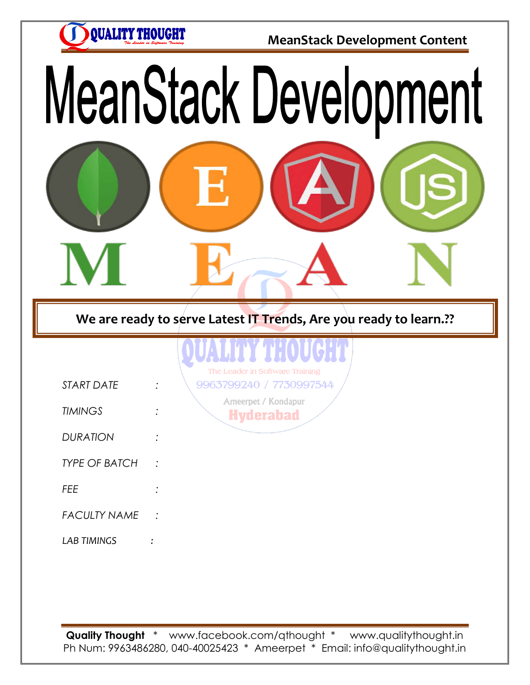**QUALITY THOUGHT** 

*LAB TIMINGS :*

**MeanStack Development Content**

# MeanStack Development

**We are ready to serve Latest IT Trends, Are you ready to learn.??**

|                      | <b>ITIQUS</b><br>The Leader in Software Training |
|----------------------|--------------------------------------------------|
| <b>START DATE</b>    | 9963799240 / 7730997544                          |
| <b>TIMINGS</b>       | Ameerpet / Kondapur<br><b>Hyderabad</b>          |
| <b>DURATION</b>      |                                                  |
| <b>TYPE OF BATCH</b> |                                                  |
| <b>FEE</b>           |                                                  |
| <b>FACULTY NAME</b>  |                                                  |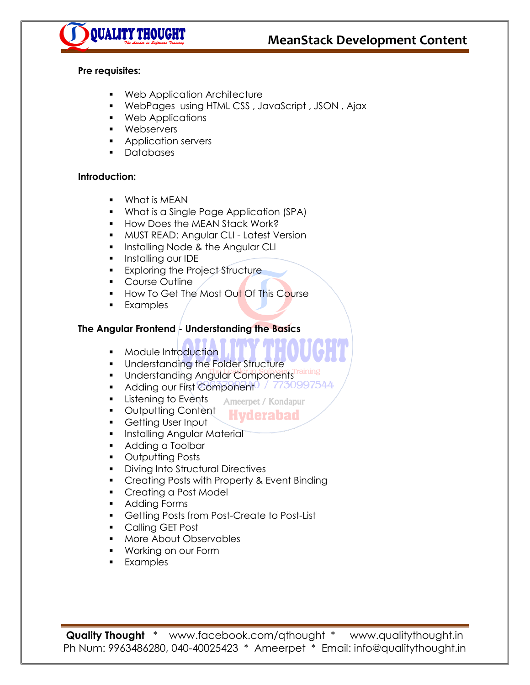



#### **Pre requisites:**

- **Web Application Architecture**
- WebPages using HTML CSS , JavaScript , JSON , Ajax
- **•** Web Applications
- **Nebservers**
- **Application servers**
- **Databases**

#### **Introduction:**

- **•** What is MEAN
- **What is a Single Page Application (SPA)**
- **How Does the MEAN Stack Work?**
- **MUST READ: Angular CLI Latest Version**
- **Installing Node & the Angular CLI**
- **Installing our IDE**
- **Exploring the Project Structure**
- **Course Outline**
- How To Get The Most Out Of This Course
- **Examples**

#### **The Angular Frontend - Understanding the Basics**

- **Module Introduction**
- **Understanding the Folder Structure**
- **Understanding Angular Components**
- Adding our First Component 7730997544
- **Listening to Events** Ameerpet / Kondapur
- **Outputting Content** Hvderabad
- **Getting User Input**
- **Installing Angular Material**
- **Adding a Toolbar**
- **•** Outputting Posts
- **Diving Into Structural Directives**
- **Creating Posts with Property & Event Binding**
- **Creating a Post Model**
- **Adding Forms**
- Getting Posts from Post-Create to Post-List
- **Calling GET Post**
- More About Observables
- Working on our Form
- **Examples**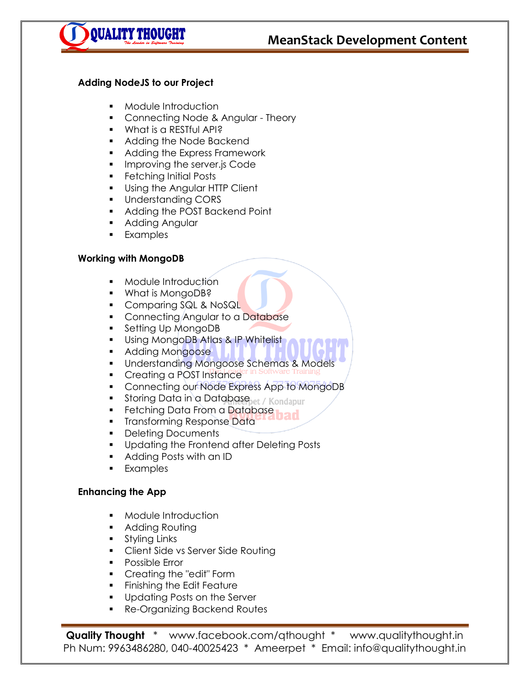

#### **Adding NodeJS to our Project**

- **•** Module Introduction
- Connecting Node & Angular Theory
- **What is a RESTful API?**
- **Adding the Node Backend**
- **Adding the Express Framework**
- **IMPROVING the server.js Code**
- **Fetching Initial Posts**
- **Using the Angular HTTP Client**
- **Understanding CORS**
- **Adding the POST Backend Point**
- **Adding Angular**
- **Examples**

#### **Working with MongoDB**

- **•** Module Introduction
- What is MongoDB?
- Comparing SQL & NoSQL
- Connecting Angular to a Database
- Setting Up MongoDB
- **Using MongoDB Atlas & IP Whitelist**
- **Adding Mongoose**
- **Understanding Mongoose Schemas & Models**
- **Creating a POST Instance**
- Connecting our Node Express App to MongoDB
- Storing Data in a Databasepet / Kondapur
- Fetching Data From a Database
- **Transforming Response Data**
- Deleting Documents
- **Updating the Frontend after Deleting Posts**
- Adding Posts with an ID
- **Examples**

#### **Enhancing the App**

- **Module Introduction**
- **Adding Routing**
- **Styling Links**
- **Client Side vs Server Side Routing**
- **Possible Error**
- **Creating the "edit" Form**
- **Finishing the Edit Feature**
- **Updating Posts on the Server**
- **Re-Organizing Backend Routes**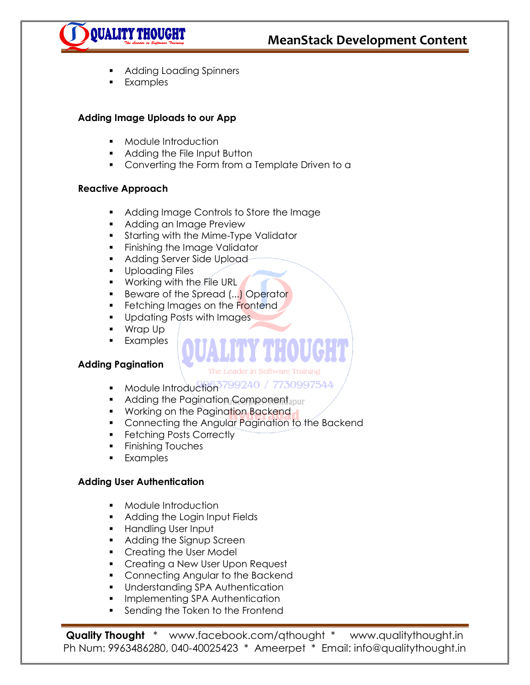

- Adding Loading Spinners
- **Examples**

#### **Adding Image Uploads to our App**

- **•** Module Introduction
- **Adding the File Input Button**
- Converting the Form from a Template Driven to a

#### **Reactive Approach**

- Adding Image Controls to Store the Image
- **Adding an Image Preview**
- **Starting with the Mime-Type Validator**
- **Finishing the Image Validator**
- **Adding Server Side Upload-**
- **Uploading Files**
- **Working with the File URL**
- Beware of the Spread (...) Operator
- Fetching Images on the Frontend
- **Updating Posts with Images**
- Wrap Up Examples

#### **Adding Pagination**

- The Leader in Software Training
- Module Introduction<sup>3799240</sup> / 7730997544
- Adding the Pagination Component abund
- **Working on the Pagination Backend**
- **Connecting the Angular Pagination to the Backend**
- **Fetching Posts Correctly**
- **Finishing Touches**
- **Examples**

#### **Adding User Authentication**

- **Module Introduction**
- **Adding the Login Input Fields**
- **Handling User Input**
- **Adding the Signup Screen**
- Creating the User Model
- **Creating a New User Upon Request**
- **Connecting Angular to the Backend**
- Understanding SPA Authentication
- **Implementing SPA Authentication**
- **Sending the Token to the Frontend**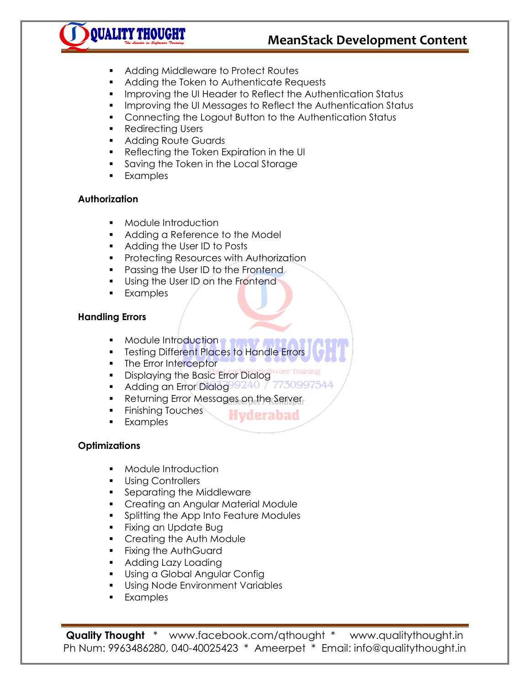# **MeanStack Development Content**



- Adding Middleware to Protect Routes
- **Adding the Token to Authenticate Requests**
- **IMPROVING THE UI Header to Reflect the Authentication Status**
- **IMPROVING THE UI Messages to Reflect the Authentication Status**
- **Connecting the Logout Button to the Authentication Status**
- Redirecting Users
- **Adding Route Guards**
- Reflecting the Token Expiration in the UI
- Saving the Token in the Local Storage
- **Examples**

### **Authorization**

- **•** Module Introduction
- Adding a Reference to the Model
- **Adding the User ID to Posts**
- **Protecting Resources with Authorization**
- Passing the User ID to the Frontend
- Using the User ID on the Frontend
- **Examples**

# **Handling Errors**

- Module Introduction **of**
- **Testing Different Places to Handle Errors**

**Hyderabad** 

- The Error Interceptor
- Displaying the Basic Error Dialog ware
- Adding an Error Dialog 399240 / 7730997544
- **Returning Error Messages on the Server-**
- **Finishing Touches**
- **Examples**

# **Optimizations**

- **•** Module Introduction
- **Using Controllers**
- **Separating the Middleware**
- **Creating an Angular Material Module**
- **Splitting the App Into Feature Modules**
- **Fixing an Update Bug**
- **Creating the Auth Module**
- **Fixing the AuthGuard**
- **Adding Lazy Loading**
- **Using a Global Angular Confignent**
- **Using Node Environment Variables**
- **Examples**